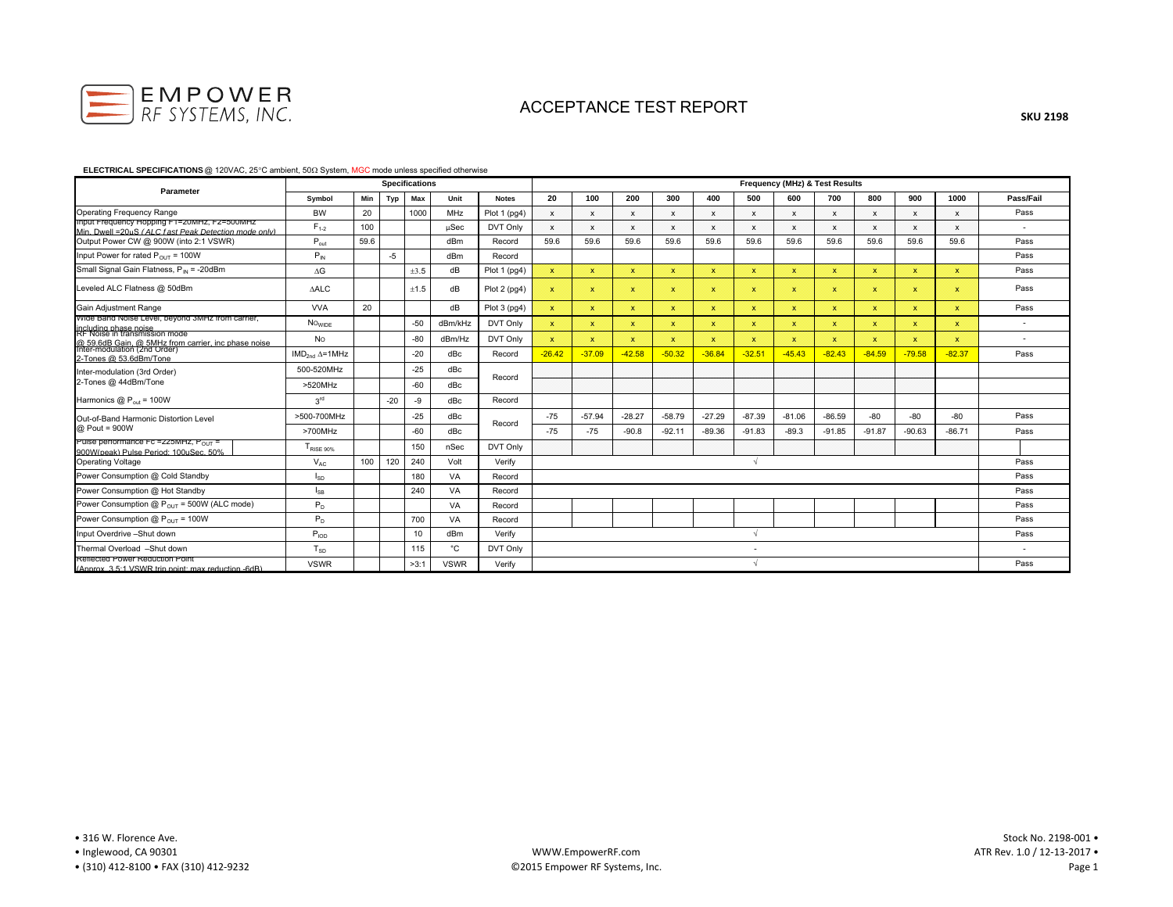

#### **ELECTRICAL SPECIFICATIONS** @ 120VAC, 25°C ambient, 50Ω System, MGC mode unless specified otherwise

| Parameter                                                                                                  |                        |      |       | <b>Specifications</b> |             |              | Frequency (MHz) & Test Results |              |              |              |              |                          |              |              |              |              |              |                          |  |
|------------------------------------------------------------------------------------------------------------|------------------------|------|-------|-----------------------|-------------|--------------|--------------------------------|--------------|--------------|--------------|--------------|--------------------------|--------------|--------------|--------------|--------------|--------------|--------------------------|--|
|                                                                                                            | Symbol                 | Min  | Typ   | Max                   | Unit        | <b>Notes</b> | 20                             | 100          | 200          | 300          | 400          | 500                      | 600          | 700          | 800          | 900          | 1000         | Pass/Fail                |  |
| <b>Operating Frequency Range</b>                                                                           | <b>BW</b>              | 20   |       | 1000                  | MHz         | Plot 1 (pg4) | $\mathsf{x}$                   | $\mathsf{x}$ | $\mathsf{x}$ | $\mathsf{x}$ | $\mathsf{x}$ | $\mathbf{x}$             | $\mathbf{x}$ | $\mathbf{x}$ | $\mathbf{x}$ | $\mathbf{x}$ | $\mathsf{x}$ | Pass                     |  |
| mput Frequency Hopping F1-Z0MHZ, F2-500MHZ<br>Min. Dwell = 20uS (ALC fast Peak Detection mode only)        | $F_{1-2}$              | 100  |       |                       | $\mu$ Sec   | DVT Only     | $\mathbf{x}$                   | $\mathbf{x}$ | $\mathsf{x}$ | $\mathbf{x}$ | $\mathsf{x}$ | $\mathsf{x}$             | $\mathsf{x}$ | $\mathsf{x}$ | $\mathbf{x}$ | $\mathbf{x}$ | $\mathsf{x}$ | $\overline{\phantom{a}}$ |  |
| Output Power CW @ 900W (into 2:1 VSWR)                                                                     | $P_{\text{out}}$       | 59.6 |       |                       | dBm         | Record       | 59.6                           | 59.6         | 59.6         | 59.6         | 59.6         | 59.6                     | 59.6         | 59.6         | 59.6         | 59.6         | 59.6         | Pass                     |  |
| Input Power for rated $P_{OUT}$ = 100W                                                                     | $P_{IN}$               |      | $-5$  |                       | dBm         | Record       |                                |              |              |              |              |                          |              |              |              |              |              | Pass                     |  |
| Small Signal Gain Flatness, P <sub>IN</sub> = -20dBm                                                       | $\Delta G$             |      |       | ±3.5                  | dB          | Plot 1 (pg4) | $\mathbf{x}$                   | $\mathbf{x}$ | $\mathbf{x}$ | $\mathbf{x}$ | $\mathbf{x}$ | $\mathbf x$              | $\mathbf{x}$ | $\mathbf{x}$ | $\mathbf{x}$ | $\mathbf{x}$ | $\mathbf x$  | Pass                     |  |
| Leveled ALC Flatness @ 50dBm                                                                               | <b>AALC</b>            |      |       | ±1.5                  | dB          | Plot 2 (pg4) | $\boldsymbol{\chi}$            | $\mathbf{x}$ | $\mathbf{x}$ | $\mathbf{x}$ | $\mathbf{x}$ | $\mathbf{x}$             | $\mathbf{x}$ | ×            | $\mathbf{x}$ | $\mathbf x$  | $\mathbf{x}$ | Pass                     |  |
| Gain Adjustment Range                                                                                      | <b>VVA</b>             | 20   |       |                       | dB          | Plot 3 (pg4) | $\mathbf x$                    | $\mathbf{x}$ | $\mathbf{x}$ | $\mathbf{x}$ | $\mathbf x$  | $\mathbf{x}$             | $\mathbf{x}$ | $\mathbf x$  | $\mathbf{x}$ | $\mathbf{x}$ | $\mathbf{x}$ | Pass                     |  |
| wide Band Noise Level, beyond 3MHz from carrier,<br>including phase noise<br>RF Noise in transmission mode | NO <sub>WIDE</sub>     |      |       | $-50$                 | dBm/kHz     | DVT Only     | $\mathbf{x}$                   | $\mathbf{x}$ | $\mathbf x$  | $\mathbf{x}$ | $\mathbf x$  | $\mathbf x$              | $\mathbf x$  | $\mathbf{x}$ | $\mathbf x$  | $\mathbf x$  | $\mathbf x$  | $\overline{\phantom{a}}$ |  |
| @ 59.6dB Gain, @ 5MHz from carrier, inc phase noise                                                        | No                     |      |       | $-80$                 | dBm/Hz      | DVT Only     | $\mathbf{x}$                   | ×            | $\mathbf{x}$ | $\mathbf{x}$ | $\mathbf{x}$ | $\mathbf x$              | $\mathbf{x}$ | $\mathbf{x}$ | $\mathbf{x}$ | ×            | $\mathbf x$  | $\overline{\phantom{a}}$ |  |
| Inter-modulation (2nd Order)<br>2-Tones @ 53.6dBm/Tone                                                     | $IMD2nd \Delta = 1MHz$ |      |       | $-20$                 | dBc         | Record       | $-26.42$                       | $-37.09$     | $-42.58$     | $-50.32$     | $-36.84$     | $-32.51$                 | $-45.43$     | $-82.43$     | $-84.59$     | $-79.58$     | $-82.37$     | Pass                     |  |
| Inter-modulation (3rd Order)<br>2-Tones @ 44dBm/Tone                                                       | 500-520MHz             |      |       | $-25$                 | dBc         | Record       |                                |              |              |              |              |                          |              |              |              |              |              |                          |  |
|                                                                                                            | >520MHz                |      |       | $-60$                 | dBc         |              |                                |              |              |              |              |                          |              |              |              |              |              |                          |  |
| Harmonics $@P_{out} = 100W$                                                                                | 3 <sup>rd</sup>        |      | $-20$ | -9                    | dBc         | Record       |                                |              |              |              |              |                          |              |              |              |              |              |                          |  |
| Out-of-Band Harmonic Distortion Level                                                                      | >500-700MHz            |      |       | $-25$                 | dBc         | Record       | $-75$                          | $-57.94$     | $-28.27$     | $-58.79$     | $-27.29$     | $-87.39$                 | $-81.06$     | $-86.59$     | $-80$        | -80          | $-80$        | Pass                     |  |
| @ Pout = 900W                                                                                              | >700MHz                |      |       | $-60$                 | dBc         |              | $-75$                          | $-75$        | $-90.8$      | $-92.11$     | $-89.36$     | $-91.83$                 | $-89.3$      | $-91.85$     | $-91.87$     | $-90.63$     | $-86.71$     | Pass                     |  |
| Puise performance FC = 225MHZ, Pour<br>900W(peak) Pulse Period: 100uSec. 50%                               | TRISE 90%              |      |       | 150                   | nSec        | DVT Only     |                                |              |              |              |              |                          |              |              |              |              |              |                          |  |
| <b>Operating Voltage</b>                                                                                   | $V_{AC}$               | 100  | 120   | 240                   | Volt        | Verify       |                                |              |              |              |              |                          |              |              |              |              |              | Pass                     |  |
| Power Consumption @ Cold Standby                                                                           | $I_{SD}$               |      |       | 180                   | VA          | Record       |                                |              |              |              |              |                          |              |              |              |              |              | Pass                     |  |
| Power Consumption @ Hot Standby                                                                            | $I_{SB}$               |      |       | 240                   | VA          | Record       |                                |              |              |              |              |                          |              |              |              |              |              | Pass                     |  |
| Power Consumption $@P_{OUT} = 500W$ (ALC mode)                                                             | $P_D$                  |      |       |                       | VA          | Record       |                                |              |              |              |              |                          |              |              |              |              |              | Pass                     |  |
| Power Consumption @ $P_{OUT}$ = 100W                                                                       | $P_D$                  |      |       | 700                   | VA          | Record       |                                |              |              |              |              |                          |              |              |              |              |              | Pass                     |  |
| Input Overdrive -Shut down                                                                                 | $P_{\text{IOD}}$       |      |       | 10                    | dBm         | Verify       |                                |              |              |              |              |                          |              |              |              |              |              | Pass                     |  |
| Thermal Overload -Shut down                                                                                | $T_{SD}$               |      |       | 115                   | °C          | DVT Only     |                                |              |              |              |              | $\overline{\phantom{a}}$ |              |              |              |              |              | $\overline{\phantom{a}}$ |  |
| Reflected Power Reduction Point<br>(Annrox 3.5:1 VSWR trip point: max reduction -6dR)                      | <b>VSWR</b>            |      |       | >3:1                  | <b>VSWR</b> | Verify       |                                |              |              |              |              |                          |              |              |              |              |              | Pass                     |  |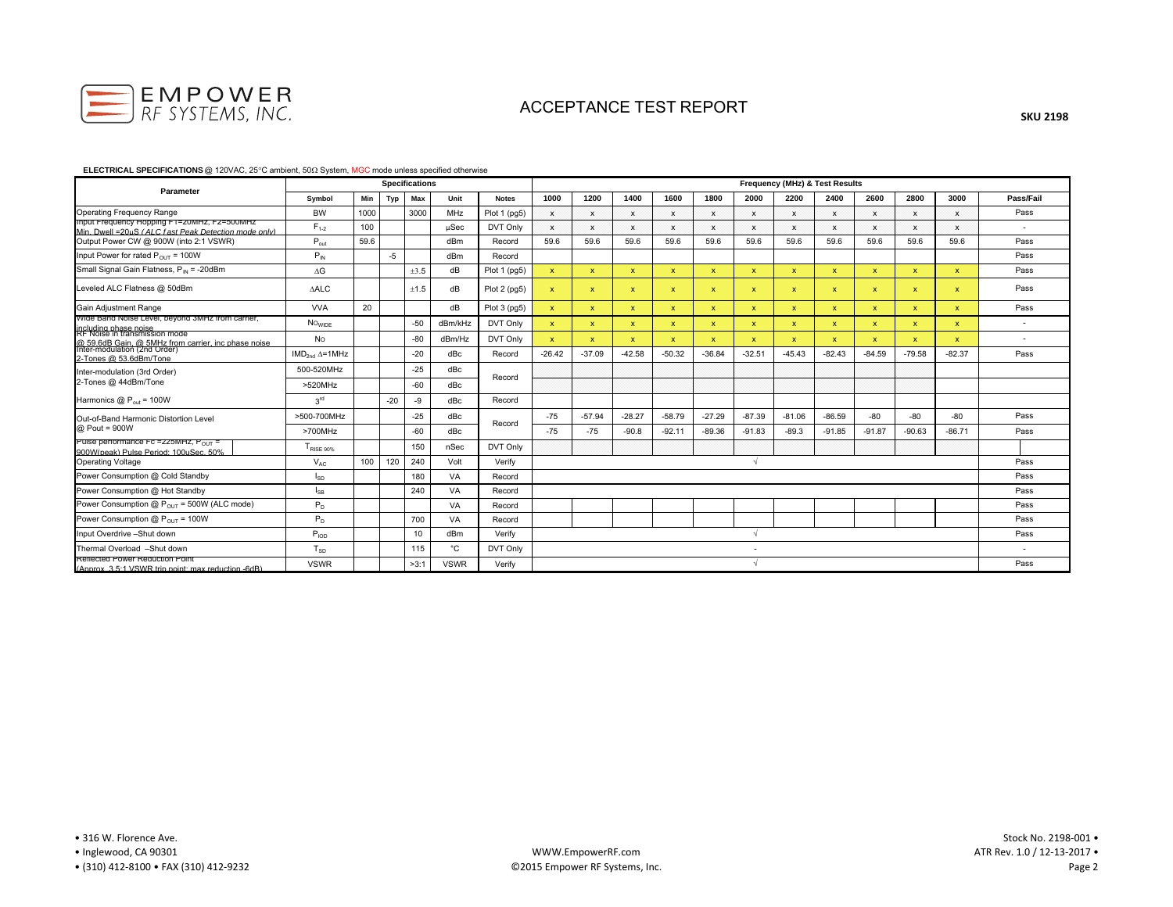

#### **ELECTRICAL SPECIFICATIONS** @ 120VAC, 25°C ambient, 50Ω System, MGC mode unless specified otherwise

| Parameter                                                                                                  |                          |      |       | <b>Specifications</b> |             |              | Frequency (MHz) & Test Results |              |              |              |              |                          |              |              |              |              |              |                          |  |
|------------------------------------------------------------------------------------------------------------|--------------------------|------|-------|-----------------------|-------------|--------------|--------------------------------|--------------|--------------|--------------|--------------|--------------------------|--------------|--------------|--------------|--------------|--------------|--------------------------|--|
|                                                                                                            | Symbol                   | Min  | Typ   | Max                   | Unit        | <b>Notes</b> | 1000                           | 1200         | 1400         | 1600         | 1800         | 2000                     | 2200         | 2400         | 2600         | 2800         | 3000         | Pass/Fail                |  |
| <b>Operating Frequency Range</b>                                                                           | <b>BW</b>                | 1000 |       | 3000                  | MHz         | Plot 1 (pg5) | $\mathbf{x}$                   | $\mathbf{x}$ | $\mathsf{x}$ | $\mathbf x$  | $\mathsf{x}$ | $\mathsf{x}$             | $\mathbf{x}$ | $\mathbf{x}$ | $\mathsf{x}$ | $\mathbf{x}$ | $\mathsf{x}$ | Pass                     |  |
| imput Frequency Hopping F1-Zuwinz, F2-300MHz<br>Min. Dwell = 20uS (ALC fast Peak Detection mode only)      | $F_{1-2}$                | 100  |       |                       | μSec        | DVT Only     | $\mathsf{x}$                   | $\mathbf{x}$ | $\mathbf{x}$ | $\mathbf{x}$ | X            | $\mathsf{x}$             | $\mathsf{x}$ | $\mathbf{x}$ | $\mathbf{x}$ | $\mathbf{x}$ | $\mathsf{x}$ | $\overline{\phantom{a}}$ |  |
| Output Power CW @ 900W (into 2:1 VSWR)                                                                     | $P_{out}$                | 59.6 |       |                       | dBm         | Record       | 59.6                           | 59.6         | 59.6         | 59.6         | 59.6         | 59.6                     | 59.6         | 59.6         | 59.6         | 59.6         | 59.6         | Pass                     |  |
| Input Power for rated $P_{OUT}$ = 100W                                                                     | $P_{IN}$                 |      | $-5$  |                       | dBm         | Record       |                                |              |              |              |              |                          |              |              |              |              |              | Pass                     |  |
| Small Signal Gain Flatness, P <sub>IN</sub> = -20dBm                                                       | $\Delta G$               |      |       | ±3.5                  | dB          | Plot 1 (pg5) | X.                             | $\mathbf{x}$ | $\mathbf{x}$ | $\mathbf{x}$ | $\mathbf{x}$ | $\mathbf{x}$             | $\mathbf{x}$ | $\mathbf{x}$ | $\mathbf{x}$ | $\mathbf{x}$ | $\mathbf{x}$ | Pass                     |  |
| Leveled ALC Flatness @ 50dBm                                                                               | <b>AALC</b>              |      |       | ±1.5                  | dB          | Plot 2 (pg5) | $\mathbf{x}$                   | $\mathbf{x}$ | $\mathbf{x}$ | $\mathbf{x}$ | $\mathbf{x}$ | $\mathbf{x}$             | $\mathbf{x}$ | $\mathbf{x}$ | $\mathbf{x}$ | $\mathbf x$  | $\mathbf{x}$ | Pass                     |  |
| Gain Adjustment Range                                                                                      | <b>VVA</b>               | 20   |       |                       | dB          | Plot 3 (pg5) | $\mathbf x$                    | $\mathbf{x}$ | $\mathbf{x}$ | $\mathbf{x}$ | $\mathbf x$  | $\mathbf{x}$             | $\mathbf{x}$ | $\mathbf x$  | $\mathbf x$  | $\mathbf{x}$ | $\mathbf{x}$ | Pass                     |  |
| wide Band Noise Level, beyond 3MHz from carrier,<br>including phase noise<br>RF Noise in transmission mode | <b>NO<sub>WIDE</sub></b> |      |       | $-50$                 | dBm/kHz     | DVT Only     | $\mathbf{x}$                   | $\mathbf{x}$ | $\mathbf{x}$ | $\mathbf{x}$ | $\mathbf{x}$ | $\mathbf x$              | $\mathbf{x}$ | $\mathbf{x}$ | $\mathbf x$  | $\mathbf{x}$ | $\mathbf x$  | $\overline{\phantom{a}}$ |  |
| @ 59 6dB Gain, @ 5MHz from carrier, inc phase noise.<br>Inter-modulation (2nd Order)                       | <b>No</b>                |      |       | $-80$                 | dBm/Hz      | DVT Only     | $\mathbf x$                    | ×            | $\mathbf{x}$ | $\mathbf{x}$ | $\mathbf{x}$ | $\mathbf x$              | $\mathbf x$  | $\mathbf{x}$ | $\mathbf{x}$ | $\mathbf x$  | $\mathbf x$  | $\overline{\phantom{a}}$ |  |
| 2-Tones @ 53.6dBm/Tone                                                                                     | $IMD2nd \Delta = 1MHz$   |      |       | $-20$                 | dBc         | Record       | $-26.42$                       | $-37.09$     | $-42.58$     | $-50.32$     | $-36.84$     | $-32.51$                 | $-45.43$     | $-82.43$     | $-84.59$     | $-79.58$     | $-82.37$     | Pass                     |  |
| Inter-modulation (3rd Order)<br>2-Tones @ 44dBm/Tone                                                       | 500-520MHz               |      |       | $-25$                 | dBc         | Record       |                                |              |              |              |              |                          |              |              |              |              |              |                          |  |
|                                                                                                            | >520MHz                  |      |       | $-60$                 | dBc         |              |                                |              |              |              |              |                          |              |              |              |              |              |                          |  |
| Harmonics $@P_{out} = 100W$                                                                                | 3 <sup>rd</sup>          |      | $-20$ | -9                    | dBc         | Record       |                                |              |              |              |              |                          |              |              |              |              |              |                          |  |
| Out-of-Band Harmonic Distortion Level                                                                      | >500-700MHz              |      |       | $-25$                 | dBc         | Record       | $-75$                          | $-57.94$     | $-28.27$     | $-58.79$     | $-27.29$     | $-87.39$                 | $-81.06$     | $-86.59$     | $-80$        | -80          | $-80$        | Pass                     |  |
| @ Pout = 900W                                                                                              | >700MHz                  |      |       | $-60$                 | dBc         |              | $-75$                          | $-75$        | $-90.8$      | $-92.11$     | $-89.36$     | $-91.83$                 | $-89.3$      | $-91.85$     | $-91.87$     | $-90.63$     | $-86.71$     | Pass                     |  |
| Puise performance FC = 225MHZ, Pour<br>900W(peak) Pulse Period: 100uSec. 50%                               | TRISE 90%                |      |       | 150                   | nSec        | DVT Only     |                                |              |              |              |              |                          |              |              |              |              |              |                          |  |
| Operating Voltage                                                                                          | $V_{AC}$                 | 100  | 120   | 240                   | Volt        | Verify       |                                |              |              |              |              |                          |              |              |              |              |              | Pass                     |  |
| Power Consumption @ Cold Standby                                                                           | $I_{SD}$                 |      |       | 180                   | VA          | Record       |                                |              |              |              |              |                          |              |              |              |              |              | Pass                     |  |
| Power Consumption @ Hot Standby                                                                            | l <sub>SB</sub>          |      |       | 240                   | VA          | Record       |                                |              |              |              |              |                          |              |              |              |              |              | Pass                     |  |
| Power Consumption $@P_{OUT} = 500W$ (ALC mode)                                                             | $P_D$                    |      |       |                       | VA          | Record       |                                |              |              |              |              |                          |              |              |              |              |              | Pass                     |  |
| Power Consumption @ $P_{OUT}$ = 100W                                                                       | $P_D$                    |      |       | 700                   | VA          | Record       |                                |              |              |              |              |                          |              |              |              |              |              | Pass                     |  |
| Input Overdrive -Shut down                                                                                 | $P_{\text{IOD}}$         |      |       | 10                    | dBm         | Verify       |                                |              |              |              |              |                          |              |              |              |              |              | Pass                     |  |
| Thermal Overload -Shut down                                                                                | $T_{SD}$                 |      |       | 115                   | °C          | DVT Only     |                                |              |              |              |              | $\overline{\phantom{a}}$ |              |              |              |              |              | $\overline{\phantom{a}}$ |  |
| Reflected Power Reduction Point<br>(Annrox 3.5:1 VSWR trip noint: max reduction -6dR)                      | <b>VSWR</b>              |      |       | >3:1                  | <b>VSWR</b> | Verify       |                                |              |              |              |              |                          |              |              |              |              |              | Pass                     |  |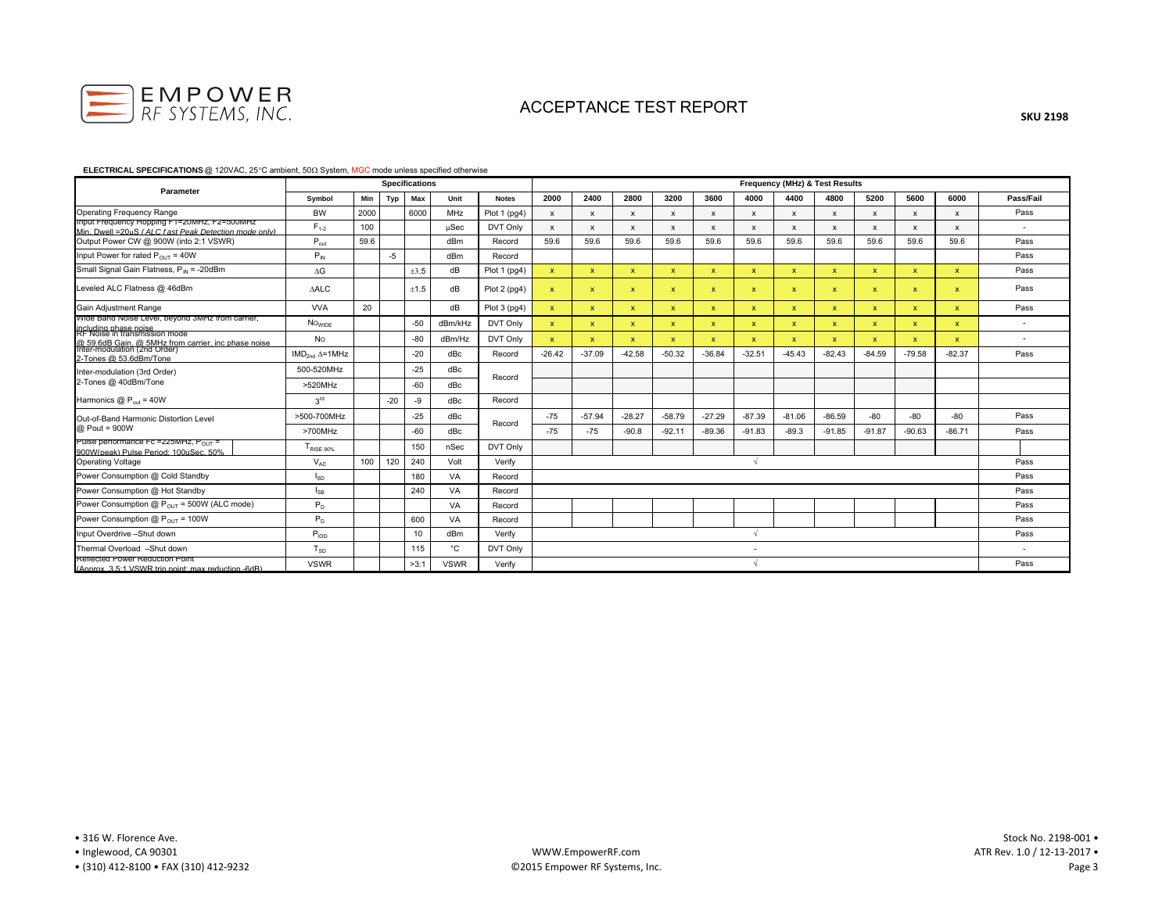

#### **ELECTRICAL SPECIFICATIONS** @ 120VAC, 25°C ambient, 50Ω System, MGC mode unless specified otherwise

| Parameter                                                                                                  |                        |      |       | <b>Specifications</b> |             |              | Frequency (MHz) & Test Results |              |              |              |              |                          |              |              |              |              |              |                          |  |
|------------------------------------------------------------------------------------------------------------|------------------------|------|-------|-----------------------|-------------|--------------|--------------------------------|--------------|--------------|--------------|--------------|--------------------------|--------------|--------------|--------------|--------------|--------------|--------------------------|--|
|                                                                                                            | Symbol                 | Min  | Typ   | Max                   | Unit        | <b>Notes</b> | 2000                           | 2400         | 2800         | 3200         | 3600         | 4000                     | 4400         | 4800         | 5200         | 5600         | 6000         | Pass/Fail                |  |
| <b>Operating Frequency Range</b>                                                                           | <b>BW</b>              | 2000 |       | 6000                  | MHz         | Plot 1 (pg4) | $\mathsf{x}$                   | $\mathbf{x}$ | X            | $\mathsf{x}$ | $\mathsf{x}$ | $\mathbf{x}$             | $\mathbf{x}$ | $\mathbf{x}$ | $\mathbf{x}$ | $\mathbf{x}$ | $\mathsf{x}$ | Pass                     |  |
| imput Frequency Hopping FT=20MHZ, FZ=500MHZ<br>Min. Dwell = 20uS (ALC fast Peak Detection mode only)       | $F_{1-2}$              | 100  |       |                       | $\mu$ Sec   | DVT Only     | $\mathbf{x}$                   | $\mathbf{x}$ | $\mathsf{x}$ | $\mathbf{x}$ | $\mathsf{x}$ | $\mathsf{x}$             | $\mathsf{x}$ | $\mathsf{x}$ | $\mathbf{x}$ | $\mathbf{x}$ | $\mathsf{x}$ | $\overline{\phantom{a}}$ |  |
| Output Power CW @ 900W (into 2:1 VSWR)                                                                     | $P_{\text{out}}$       | 59.6 |       |                       | dBm         | Record       | 59.6                           | 59.6         | 59.6         | 59.6         | 59.6         | 59.6                     | 59.6         | 59.6         | 59.6         | 59.6         | 59.6         | Pass                     |  |
| Input Power for rated $P_{OUT} = 40W$                                                                      | $P_{IN}$               |      | $-5$  |                       | dBm         | Record       |                                |              |              |              |              |                          |              |              |              |              |              | Pass                     |  |
| Small Signal Gain Flatness, P <sub>IN</sub> = -20dBm                                                       | $\Delta G$             |      |       | ±3.5                  | dB          | Plot 1 (pg4) | $\mathbf{x}$                   | $\mathbf{x}$ | $\mathbf{x}$ | $\mathbf{x}$ | $\mathbf{x}$ | $\mathbf x$              | $\mathbf{x}$ | $\mathbf{x}$ | $\mathbf{x}$ | $\mathbf x$  | $\mathbf x$  | Pass                     |  |
| Leveled ALC Flatness @ 46dBm                                                                               | <b>AALC</b>            |      |       | ±1.5                  | dB          | Plot 2 (pg4) | $\boldsymbol{\chi}$            | $\mathbf{x}$ | $\mathbf{x}$ | $\mathbf{x}$ | $\mathbf{x}$ | $\mathbf{x}$             | $\mathbf{x}$ | ×            | $\mathbf x$  | $\mathbf x$  | $\mathbf{x}$ | Pass                     |  |
| Gain Adjustment Range                                                                                      | <b>VVA</b>             | 20   |       |                       | dB          | Plot 3 (pg4) | $\mathbf x$                    | $\mathbf{x}$ | $\mathbf{x}$ | $\mathbf{x}$ | $\mathbf x$  | $\mathbf{x}$             | $\mathbf{x}$ | $\mathbf x$  | $\mathbf x$  | $\mathbf{x}$ | $\mathbf{x}$ | Pass                     |  |
| wide Band Noise Level, beyond 3MHz from carrier,<br>including phase noise<br>RF Noise in transmission mode | NO <sub>WIDE</sub>     |      |       | $-50$                 | dBm/kHz     | DVT Only     | $\mathbf{x}$                   | ×            | $\mathbf x$  | $\mathbf{x}$ | $\mathbf x$  | $\mathbf x$              | $\mathbf x$  | $\mathbf{x}$ | $\mathbf x$  | $\mathbf x$  | $\mathbf x$  | $\overline{\phantom{a}}$ |  |
| @ 59.6dB Gain, @ 5MHz from carrier, inc phase noise                                                        | No                     |      |       | $-80$                 | dBm/Hz      | DVT Only     | $\mathbf{x}$                   | ×            | $\mathbf{x}$ | $\mathbf{x}$ | $\mathbf{x}$ | $\mathbf x$              | $\mathbf x$  | $\mathbf{x}$ | $\mathbf{x}$ | $\mathbf x$  | $\mathbf x$  | $\overline{\phantom{a}}$ |  |
| Inter-modulation (2nd Order)<br>2-Tones @ 53.6dBm/Tone                                                     | $IMD2nd \Delta = 1MHz$ |      |       | $-20$                 | dBc         | Record       | $-26.42$                       | $-37.09$     | $-42.58$     | $-50.32$     | $-36.84$     | $-32.51$                 | $-45.43$     | $-82.43$     | $-84.59$     | $-79.58$     | $-82.37$     | Pass                     |  |
| Inter-modulation (3rd Order)<br>2-Tones @ 40dBm/Tone                                                       | 500-520MHz             |      |       | $-25$                 | dBc         | Record       |                                |              |              |              |              |                          |              |              |              |              |              |                          |  |
|                                                                                                            | >520MHz                |      |       | $-60$                 | dBc         |              |                                |              |              |              |              |                          |              |              |              |              |              |                          |  |
| Harmonics $@P_{\text{out}} = 40W$                                                                          | 3 <sup>rd</sup>        |      | $-20$ | -9                    | dBc         | Record       |                                |              |              |              |              |                          |              |              |              |              |              |                          |  |
| Out-of-Band Harmonic Distortion Level                                                                      | >500-700MHz            |      |       | $-25$                 | dBc         | Record       | $-75$                          | $-57.94$     | $-28.27$     | $-58.79$     | $-27.29$     | $-87.39$                 | $-81.06$     | $-86.59$     | $-80$        | -80          | $-80$        | Pass                     |  |
| @ Pout = 900W                                                                                              | >700MHz                |      |       | $-60$                 | dBc         |              | $-75$                          | $-75$        | $-90.8$      | $-92.11$     | $-89.36$     | $-91.83$                 | $-89.3$      | $-91.85$     | $-91.87$     | $-90.63$     | $-86.71$     | Pass                     |  |
| Puise performance FC = 225MHZ, Pour<br>900W(peak) Pulse Period: 100uSec. 50%                               | TRISE 90%              |      |       | 150                   | nSec        | DVT Only     |                                |              |              |              |              |                          |              |              |              |              |              |                          |  |
| <b>Operating Voltage</b>                                                                                   | $V_{AC}$               | 100  | 120   | 240                   | Volt        | Verify       |                                |              |              |              |              |                          |              |              |              |              |              | Pass                     |  |
| Power Consumption @ Cold Standby                                                                           | $I_{SD}$               |      |       | 180                   | VA          | Record       |                                |              |              |              |              |                          |              |              |              |              |              | Pass                     |  |
| Power Consumption @ Hot Standby                                                                            | $I_{SB}$               |      |       | 240                   | VA          | Record       |                                |              |              |              |              |                          |              |              |              |              |              | Pass                     |  |
| Power Consumption $@P_{OUT} = 500W$ (ALC mode)                                                             | $P_D$                  |      |       |                       | VA          | Record       |                                |              |              |              |              |                          |              |              |              |              |              | Pass                     |  |
| Power Consumption $@P_{OUT} = 100W$                                                                        | $P_D$                  |      |       | 600                   | VA          | Record       |                                |              |              |              |              |                          |              |              |              |              |              | Pass                     |  |
| Input Overdrive -Shut down                                                                                 | $P_{\text{IOD}}$       |      |       | 10                    | dBm         | Verify       |                                |              |              |              |              |                          |              |              |              |              |              | Pass                     |  |
| Thermal Overload -Shut down                                                                                | $T_{SD}$               |      |       | 115                   | °C          | DVT Only     |                                |              |              |              |              | $\overline{\phantom{a}}$ |              |              |              |              |              | $\overline{\phantom{a}}$ |  |
| Reflected Power Reduction Point<br>(Annrox 3.5:1 VSWR trip point: max reduction -6dR)                      | <b>VSWR</b>            |      |       | >3:1                  | <b>VSWR</b> | Verify       |                                |              |              |              |              |                          |              |              |              |              |              | Pass                     |  |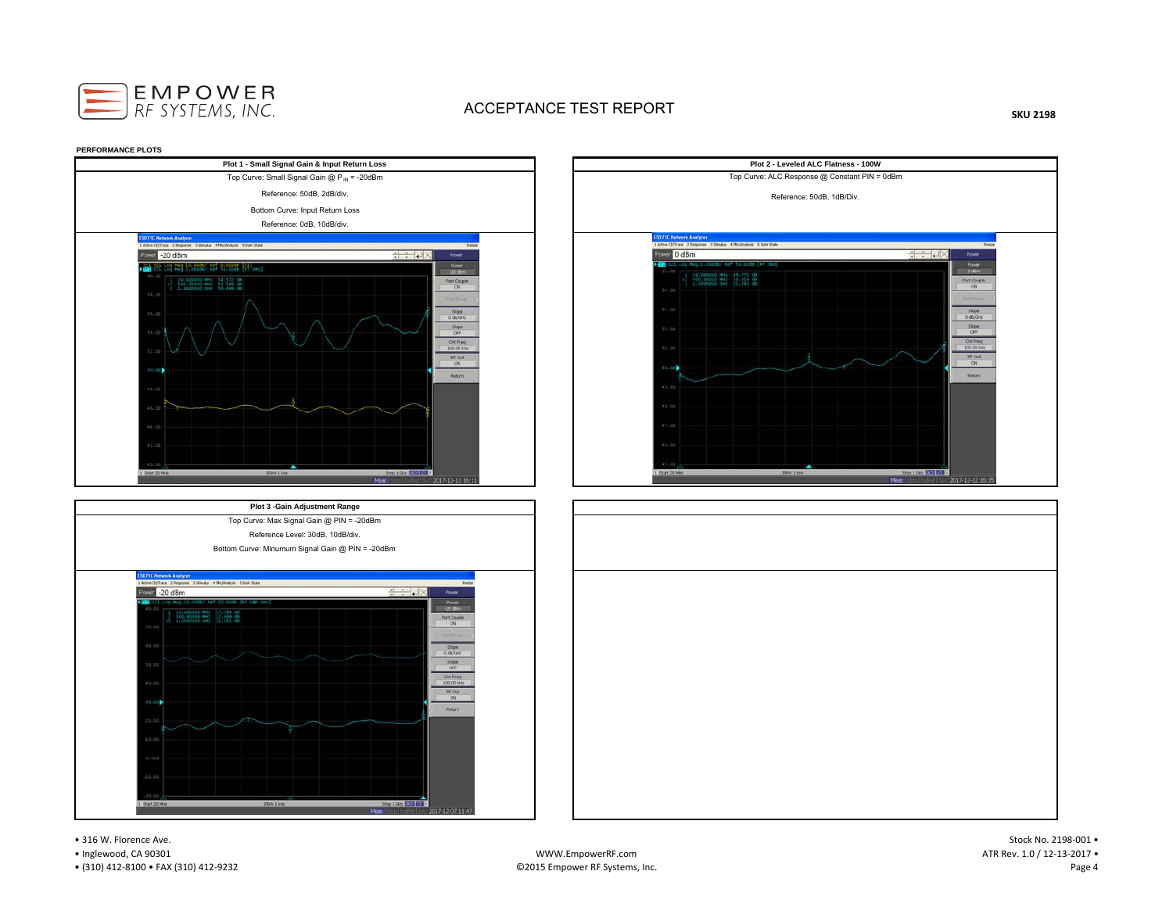

**SKU 2198**







• 316 W. Florence Ave.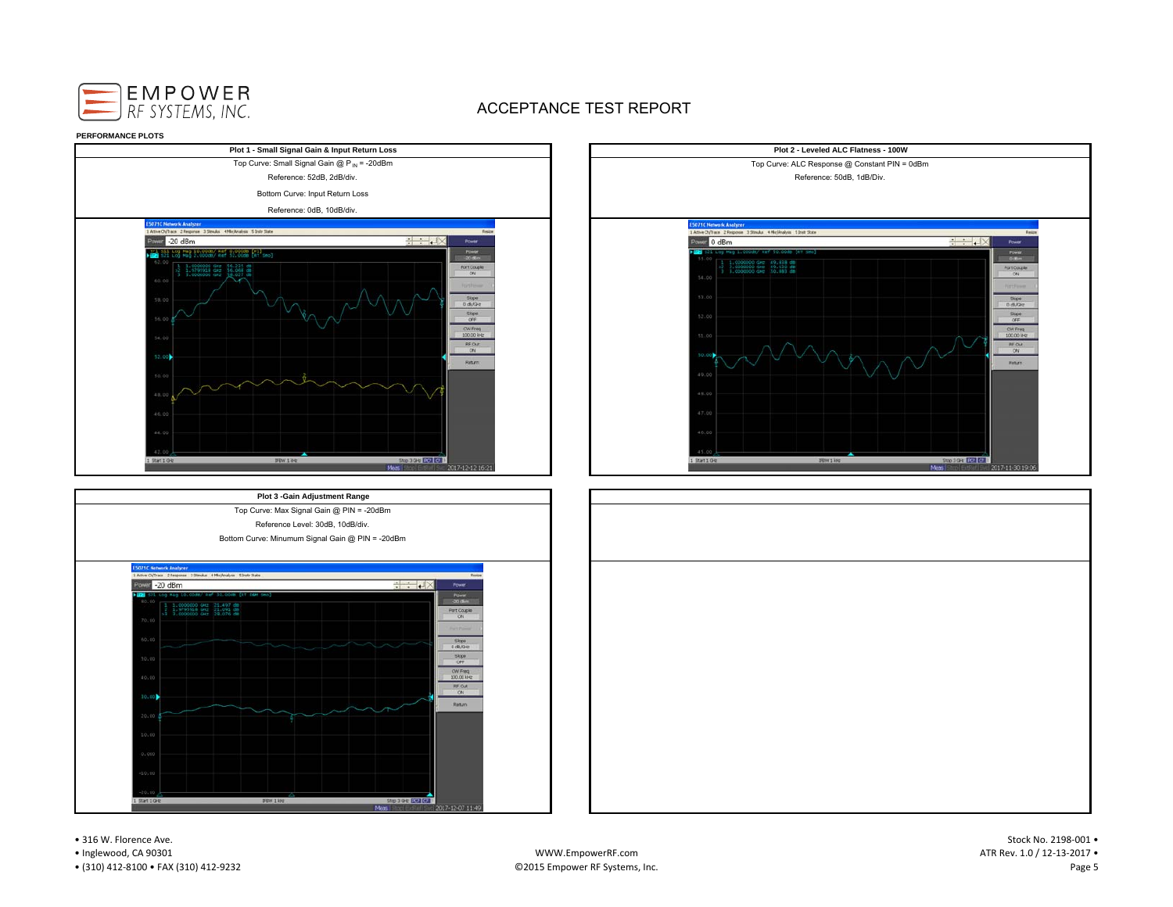











• 316 W. Florence Ave.